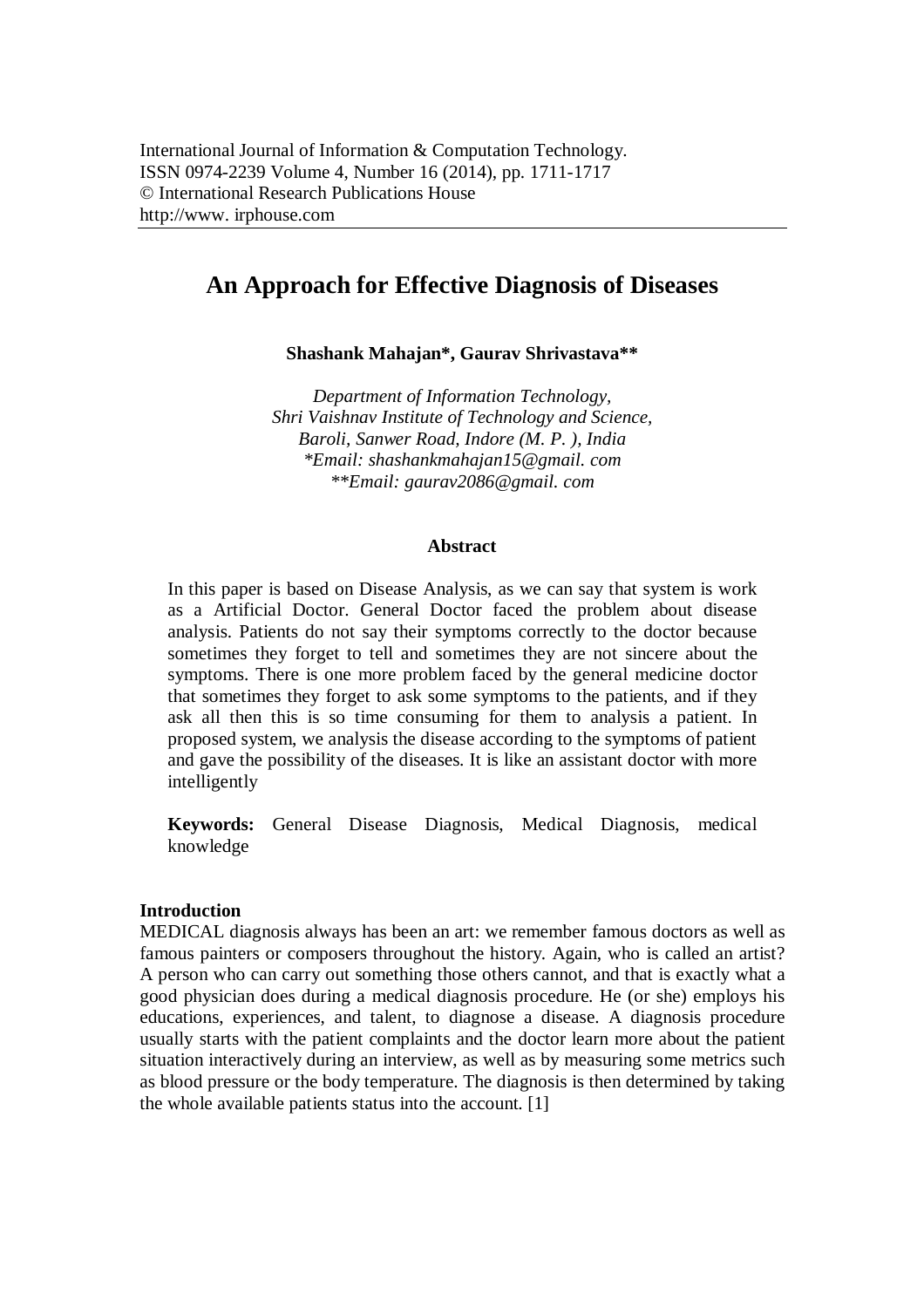# **An Approach for Effective Diagnosis of Diseases**

**Shashank Mahajan\*, Gaurav Shrivastava\*\***

*Department of Information Technology, Shri Vaishnav Institute of Technology and Science, Baroli, Sanwer Road, Indore (M. P. ), India \*Email: shashankmahajan15@gmail. com \*\*Email: gaurav2086@gmail. com*

#### **Abstract**

In this paper is based on Disease Analysis, as we can say that system is work as a Artificial Doctor. General Doctor faced the problem about disease analysis. Patients do not say their symptoms correctly to the doctor because sometimes they forget to tell and sometimes they are not sincere about the symptoms. There is one more problem faced by the general medicine doctor that sometimes they forget to ask some symptoms to the patients, and if they ask all then this is so time consuming for them to analysis a patient. In proposed system, we analysis the disease according to the symptoms of patient and gave the possibility of the diseases. It is like an assistant doctor with more intelligently

**Keywords:** General Disease Diagnosis, Medical Diagnosis, medical knowledge

#### **Introduction**

MEDICAL diagnosis always has been an art: we remember famous doctors as well as famous painters or composers throughout the history. Again, who is called an artist? A person who can carry out something those others cannot, and that is exactly what a good physician does during a medical diagnosis procedure. He (or she) employs his educations, experiences, and talent, to diagnose a disease. A diagnosis procedure usually starts with the patient complaints and the doctor learn more about the patient situation interactively during an interview, as well as by measuring some metrics such as blood pressure or the body temperature. The diagnosis is then determined by taking the whole available patients status into the account. [1]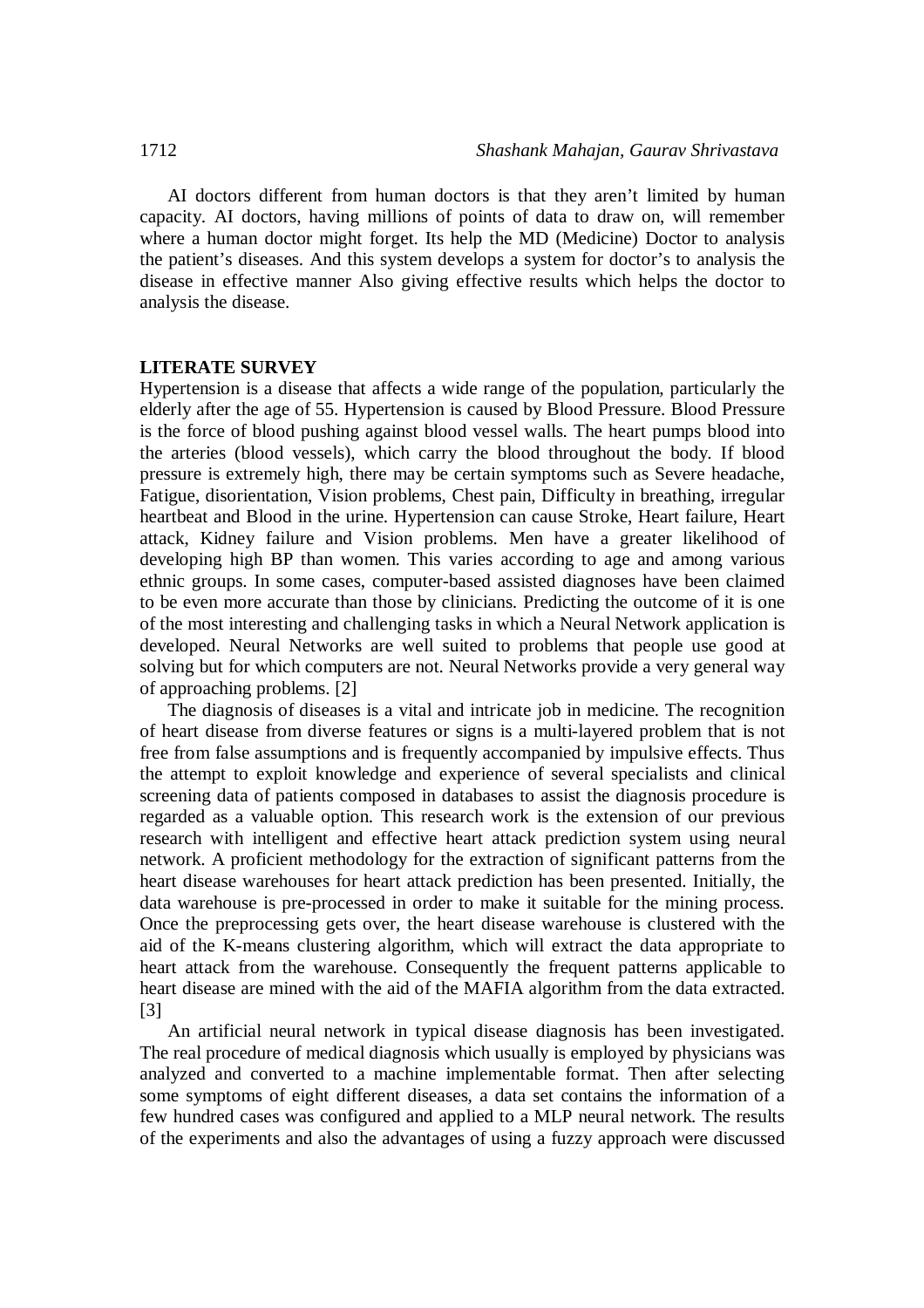AI doctors different from human doctors is that they aren't limited by human capacity. AI doctors, having millions of points of data to draw on, will remember where a human doctor might forget. Its help the MD (Medicine) Doctor to analysis the patient's diseases. And this system develops a system for doctor's to analysis the disease in effective manner Also giving effective results which helps the doctor to analysis the disease.

#### **LITERATE SURVEY**

Hypertension is a disease that affects a wide range of the population, particularly the elderly after the age of 55. Hypertension is caused by Blood Pressure. Blood Pressure is the force of blood pushing against blood vessel walls. The heart pumps blood into the arteries (blood vessels), which carry the blood throughout the body. If blood pressure is extremely high, there may be certain symptoms such as Severe headache, Fatigue, disorientation, Vision problems, Chest pain, Difficulty in breathing, irregular heartbeat and Blood in the urine. Hypertension can cause Stroke, Heart failure, Heart attack, Kidney failure and Vision problems. Men have a greater likelihood of developing high BP than women. This varies according to age and among various ethnic groups. In some cases, computer-based assisted diagnoses have been claimed to be even more accurate than those by clinicians. Predicting the outcome of it is one of the most interesting and challenging tasks in which a Neural Network application is developed. Neural Networks are well suited to problems that people use good at solving but for which computers are not. Neural Networks provide a very general way of approaching problems. [2]

The diagnosis of diseases is a vital and intricate job in medicine. The recognition of heart disease from diverse features or signs is a multi-layered problem that is not free from false assumptions and is frequently accompanied by impulsive effects. Thus the attempt to exploit knowledge and experience of several specialists and clinical screening data of patients composed in databases to assist the diagnosis procedure is regarded as a valuable option. This research work is the extension of our previous research with intelligent and effective heart attack prediction system using neural network. A proficient methodology for the extraction of significant patterns from the heart disease warehouses for heart attack prediction has been presented. Initially, the data warehouse is pre-processed in order to make it suitable for the mining process. Once the preprocessing gets over, the heart disease warehouse is clustered with the aid of the K-means clustering algorithm, which will extract the data appropriate to heart attack from the warehouse. Consequently the frequent patterns applicable to heart disease are mined with the aid of the MAFIA algorithm from the data extracted. [3]

An artificial neural network in typical disease diagnosis has been investigated. The real procedure of medical diagnosis which usually is employed by physicians was analyzed and converted to a machine implementable format. Then after selecting some symptoms of eight different diseases, a data set contains the information of a few hundred cases was configured and applied to a MLP neural network. The results of the experiments and also the advantages of using a fuzzy approach were discussed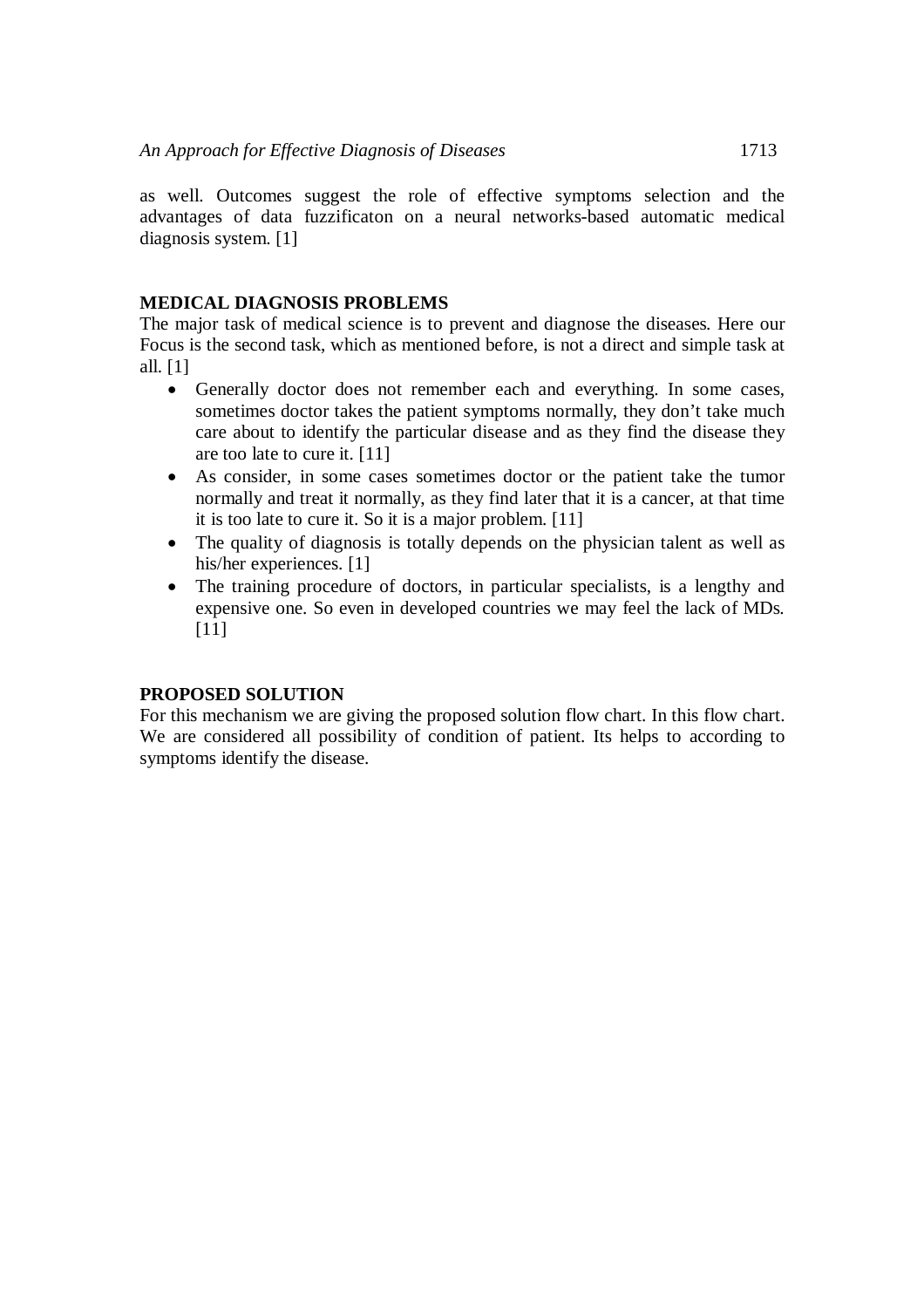as well. Outcomes suggest the role of effective symptoms selection and the advantages of data fuzzificaton on a neural networks-based automatic medical diagnosis system. [1]

# **MEDICAL DIAGNOSIS PROBLEMS**

The major task of medical science is to prevent and diagnose the diseases. Here our Focus is the second task, which as mentioned before, is not a direct and simple task at all. [1]

- Generally doctor does not remember each and everything. In some cases, sometimes doctor takes the patient symptoms normally, they don't take much care about to identify the particular disease and as they find the disease they are too late to cure it. [11]
- As consider, in some cases sometimes doctor or the patient take the tumor normally and treat it normally, as they find later that it is a cancer, at that time it is too late to cure it. So it is a major problem. [11]
- The quality of diagnosis is totally depends on the physician talent as well as his/her experiences. [1]
- The training procedure of doctors, in particular specialists, is a lengthy and expensive one. So even in developed countries we may feel the lack of MDs. [11]

#### **PROPOSED SOLUTION**

For this mechanism we are giving the proposed solution flow chart. In this flow chart. We are considered all possibility of condition of patient. Its helps to according to symptoms identify the disease.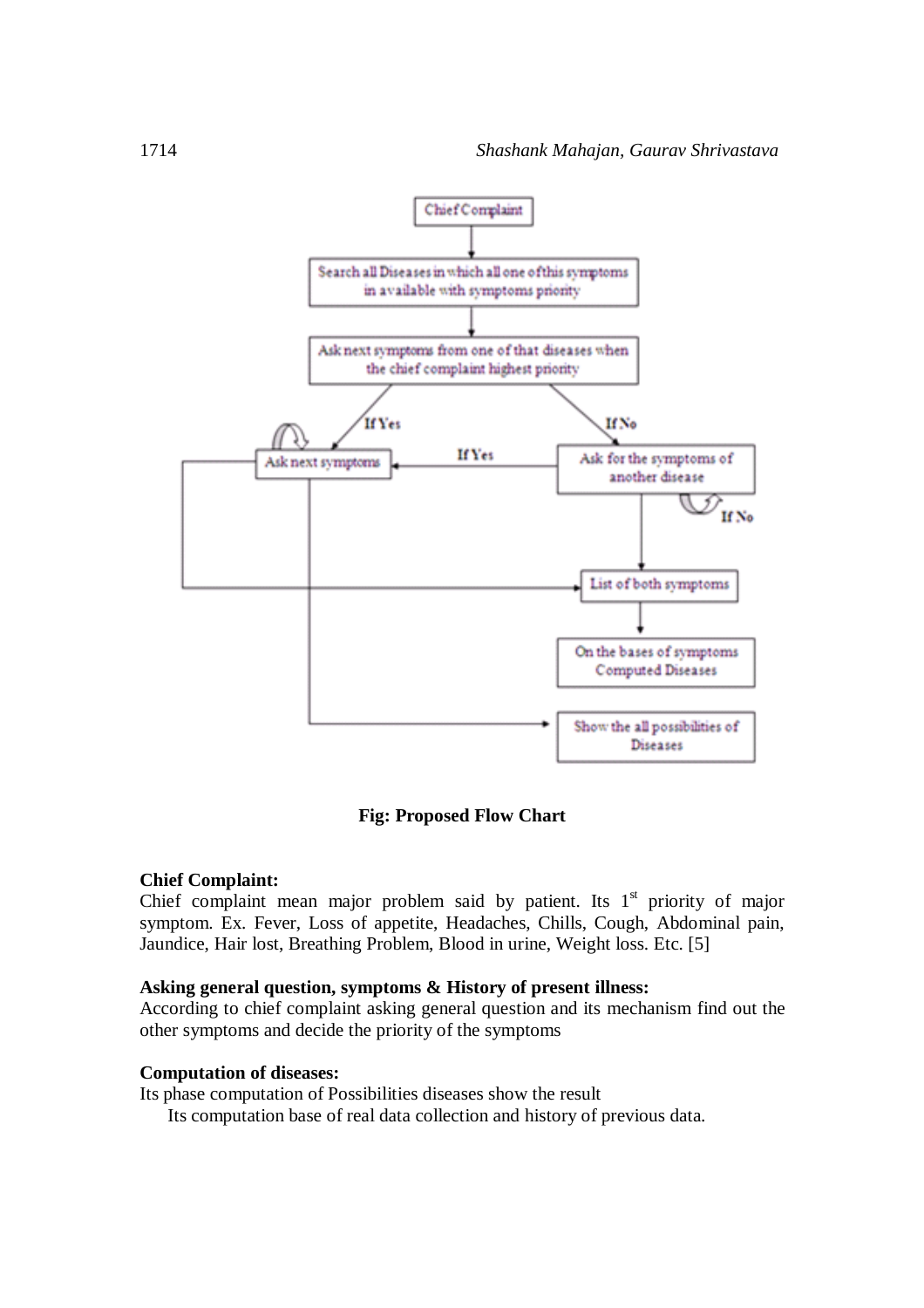

# **Fig: Proposed Flow Chart**

#### **Chief Complaint:**

Chief complaint mean major problem said by patient. Its  $1<sup>st</sup>$  priority of major symptom. Ex. Fever, Loss of appetite, Headaches, Chills, Cough, Abdominal pain, Jaundice, Hair lost, Breathing Problem, Blood in urine, Weight loss. Etc. [5]

# **Asking general question, symptoms & History of present illness:**

According to chief complaint asking general question and its mechanism find out the other symptoms and decide the priority of the symptoms

#### **Computation of diseases:**

Its phase computation of Possibilities diseases show the result

Its computation base of real data collection and history of previous data.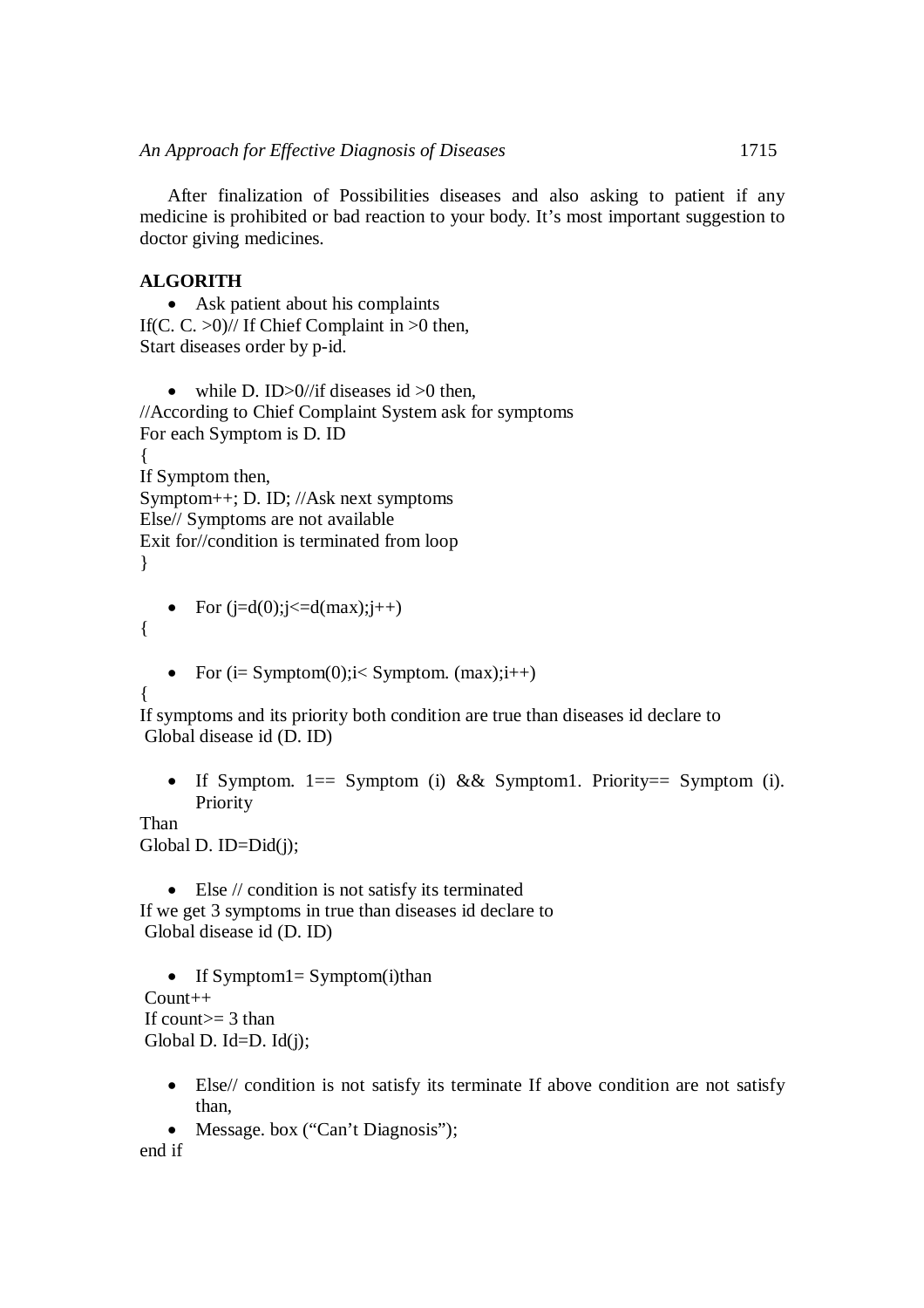After finalization of Possibilities diseases and also asking to patient if any medicine is prohibited or bad reaction to your body. It's most important suggestion to doctor giving medicines.

# **ALGORITH**

 Ask patient about his complaints If(C. C.  $>0$ )// If Chief Complaint in  $>0$  then, Start diseases order by p-id.

• while D. ID $>0$ //if diseases id  $>0$  then, //According to Chief Complaint System ask for symptoms For each Symptom is D. ID { If Symptom then, Symptom++; D. ID; //Ask next symptoms Else// Symptoms are not available Exit for//condition is terminated from loop }

• For  $(i=d(0); j \leq d(max); j++)$ 

• For  $(i= Symptom(0); i < Symptom.$   $(max); i++)$ 

{

{

If symptoms and its priority both condition are true than diseases id declare to Global disease id (D. ID)

• If Symptom.  $1 ==$  Symptom (i) && Symptom1. Priority = Symptom (i). Priority

Than

Global D. ID=Did(j);

• Else // condition is not satisfy its terminated If we get 3 symptoms in true than diseases id declare to Global disease id (D. ID)

 $\bullet$  If Symptom1= Symptom(i)than  $Count++$ If count $>=$  3 than Global D. Id=D. Id $(j)$ ;

- Else// condition is not satisfy its terminate If above condition are not satisfy than,
- Message. box ("Can't Diagnosis");

end if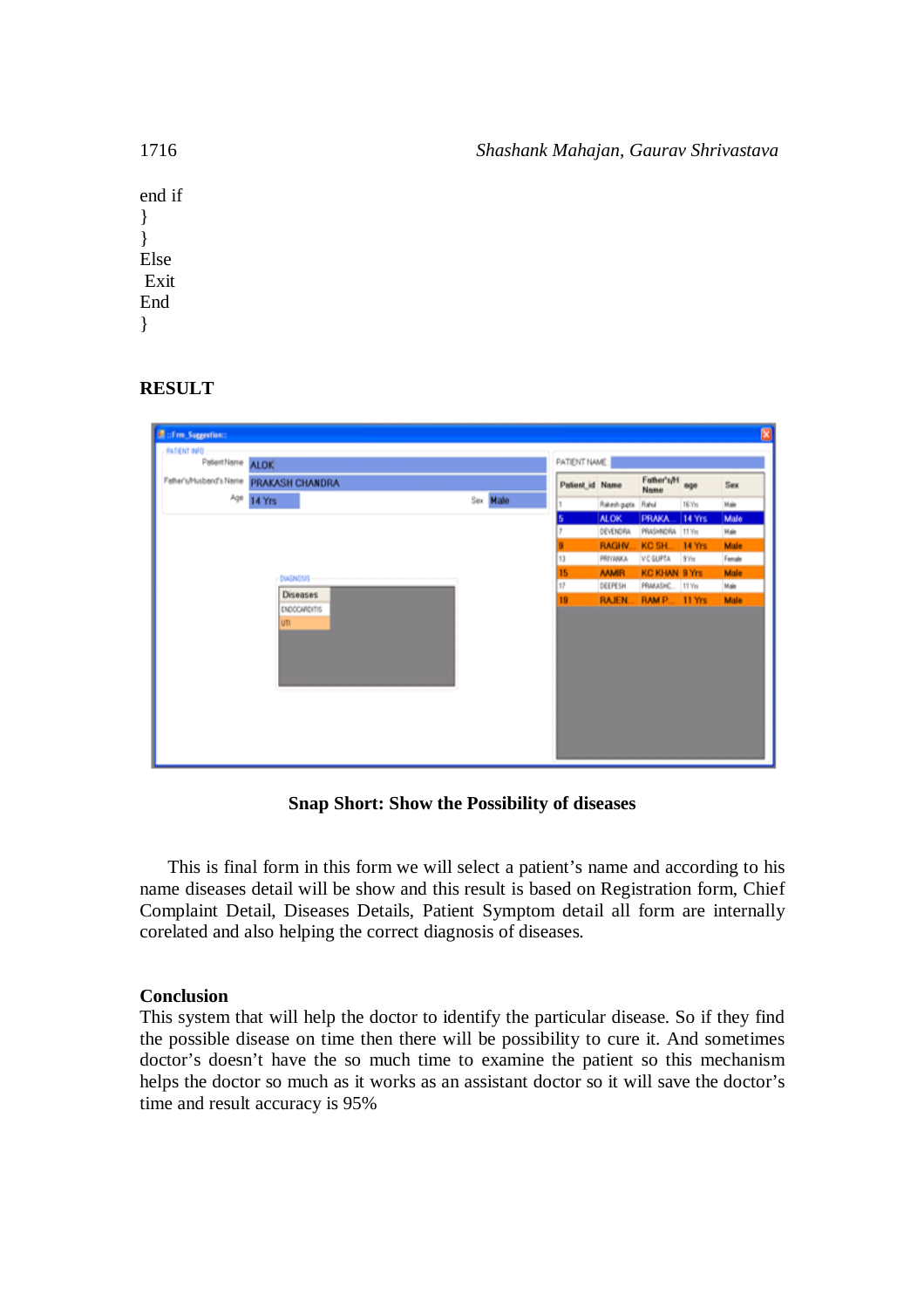| 1716   | Shashank Mahajan, Gaurav Shrivastava |
|--------|--------------------------------------|
| end if |                                      |
| $\}$   |                                      |
| $\}$   |                                      |
| Else   |                                      |
| Exit   |                                      |
| End    |                                      |
| $\}$   |                                      |

# **RESULT**

| El :: Fm. Suggestion:                                      |                                        |          |                 |                      |                    |        | ⊠    |
|------------------------------------------------------------|----------------------------------------|----------|-----------------|----------------------|--------------------|--------|------|
| <b>PATIENT INFO</b><br>PatientName ALOK                    |                                        |          | PATIENT NAME:   |                      |                    |        |      |
|                                                            | Feher's/Husbend's Neme PRAKASH CHANDRA |          | Patient id Name |                      | Father's/H<br>Name | age    | Sex  |
|                                                            | Age 14 Yrs                             | Sex Male | 1               | Rakesh p.pts Rahul   |                    | 16 Yrs | Male |
| <b>DIAGNOSIS</b><br>Diseases<br><b>ENDOCARDITIS</b><br>UTI |                                        |          | ь               | ALOK.                | <b>PRAKA</b>       | 14 Yrs | Male |
|                                                            |                                        |          | DEVENDRA        | PRASHNORA 11 Yrs     |                    | Male   |      |
|                                                            |                                        |          | <b>RAGHV.</b>   | KC SH.               | 14 Yrs             | Male   |      |
|                                                            |                                        | 13       | PRIVANKA        | V C GUPTA            | 9 Yrs              | Female |      |
|                                                            |                                        | 15       | <b>MMR</b>      | <b>KC KHAN 9 Yrs</b> |                    | Male   |      |
|                                                            |                                        | 17       | DEEPESH         | PRAKASHC. 11 Yn      |                    | Male   |      |
|                                                            |                                        | 19       | <b>RAJEN.</b>   | RAM P                | 11 Yrs             | Male   |      |
|                                                            |                                        |          |                 |                      |                    |        |      |

**Snap Short: Show the Possibility of diseases**

This is final form in this form we will select a patient's name and according to his name diseases detail will be show and this result is based on Registration form, Chief Complaint Detail, Diseases Details, Patient Symptom detail all form are internally corelated and also helping the correct diagnosis of diseases.

# **Conclusion**

This system that will help the doctor to identify the particular disease. So if they find the possible disease on time then there will be possibility to cure it. And sometimes doctor's doesn't have the so much time to examine the patient so this mechanism helps the doctor so much as it works as an assistant doctor so it will save the doctor's time and result accuracy is 95%